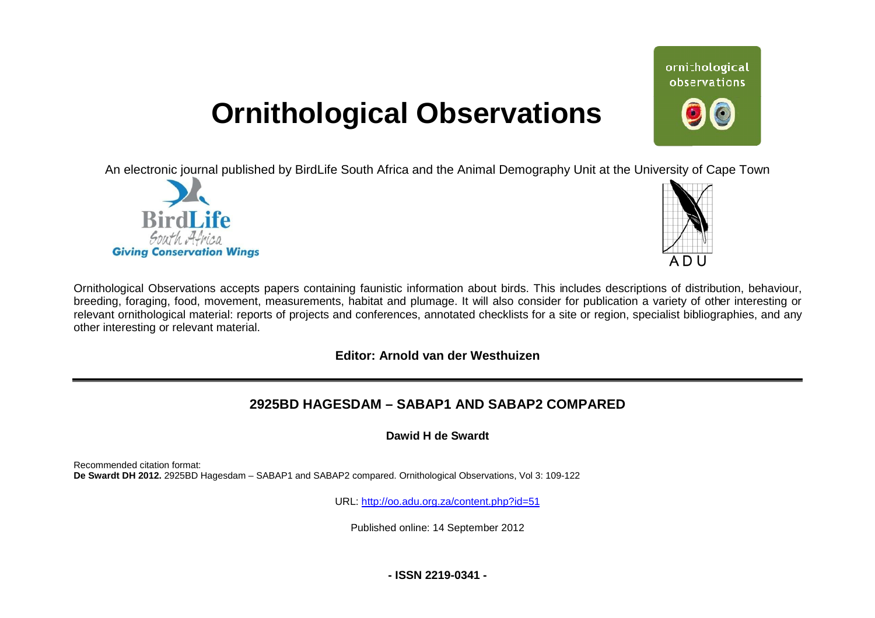# **Ornithological Observations**

An electronic journal published by BirdLife South Africa and the Animal Demography Unit at the University of Cape Town





ornithological observations

Ornithological Observations accepts papers containing faunistic information about birds. This includes descriptions of distribution, behaviour, Ornithological Observations accepts papers containing faunistic information about birds. This includes descriptions of distribution, behaviour,<br>breeding, foraging, food, movement, measurements, habitat and plumage. It will relevant ornithological material: reports of projects and conferences, annotated checklists for a site or region, specialist bibliographies, and any other interesting or relevant material.

## **Editor: Arnold van der Westhuizen**

# **2925BD HAGESDAM HAGESDAM – SABAP1 AND SABAP2 COMPARED**

**Dawid H de Swardt** 

Recommended citation format: **De Swardt DH 2012.** 2925BD Hagesdam – SABAP1 and SABAP2 compared. Ornithological Observations, Vol 3: 109-122

URL: <http://oo.adu.org.za/content.php?id=51>

Published online: 14 September 2012

**- ISSN 2219-0341 -**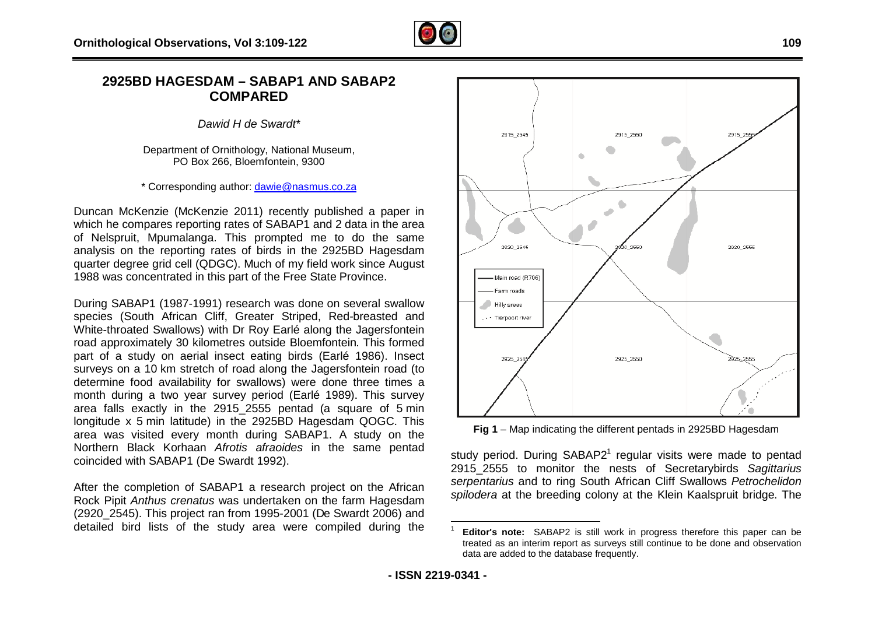

### 2925BD HAGESDAM – SABAP1 AND SABAP2 **COMPARED**

*Dawid H de Swardt\**

Department of Ornithology, National Museum, PO Box 266, Bloemfontein, 9300

\* Corresponding author: [dawie@nasmus.co.za](mailto:dawie@nasmus.co.za)

Duncan McKenzie (McKenzie 2011) recently published a paper in which he compares reporting rates of SABAP1 and 2 data in the area of Nelspruit, Mpumalanga. This prompted me to do the same analysis on the reporting rates of birds in the 2925BD Hagesdam quarter degree grid cell (QDGC). Much of my field work since August 1988 was concentrated in this part of the Free State Province Province.

During SABAP1 (1987-1991) research was done on several swallow species (South African Cliff, Greater Striped, Red-breasted and species (South African Cliff, Greater Striped, Red-breasted and<br>White-throated Swallows) with Dr Roy Earlé along the Jagersfontein road approximately 30 kilometres outside Bloemfontein Bloemfontein. This formed part of a study on aerial insect eating birds (Earlé 1986). Insect surveys on a 10 km stretch of road along the Jagersfontein road (to determine food availability for swallows) were done three times a month during a two year survey period (Earlé 1989). This survey area falls exactly in the 2915\_2555 pentad (a square of 5 min longitude x 5 min latitude) in the 2925BD Hagesdam QOGC. This area was visited every month during SABAP1. A study on the Northern Black Korhaan *Afrotis afraoides* in the same pentad coincided with SABAP1 (De Swardt 1992).

After the completion of SABAP1 a research project on the African Rock Pipit *Anthus crenatus* was undertaken on the farm Hagesdam (2920\_2545). This project ran from 1995-2001 (De Swardt 2006) and edetailed bird lists of the study area were compiled during the



**Fig 1** – Map indicating the different pentads in 2925BD Hagesdam

study period. During  $SABAP2<sup>1</sup>$  regular visits were made to pentad 2915\_2555 to monitor the nests of Secretarybirds Sagittarius *serpentarius* and to ring South African Cliff Swallows *Petrochelidon*  spilodera at the breeding colony at the Klein Kaalspruit bridge. The

 $\overline{a}$ 1 **Editor's note:** SABAP2 is still work in progress therefore this paper can be treated as an interim report as surveys still continue to be done and observation data are added to the database frequently.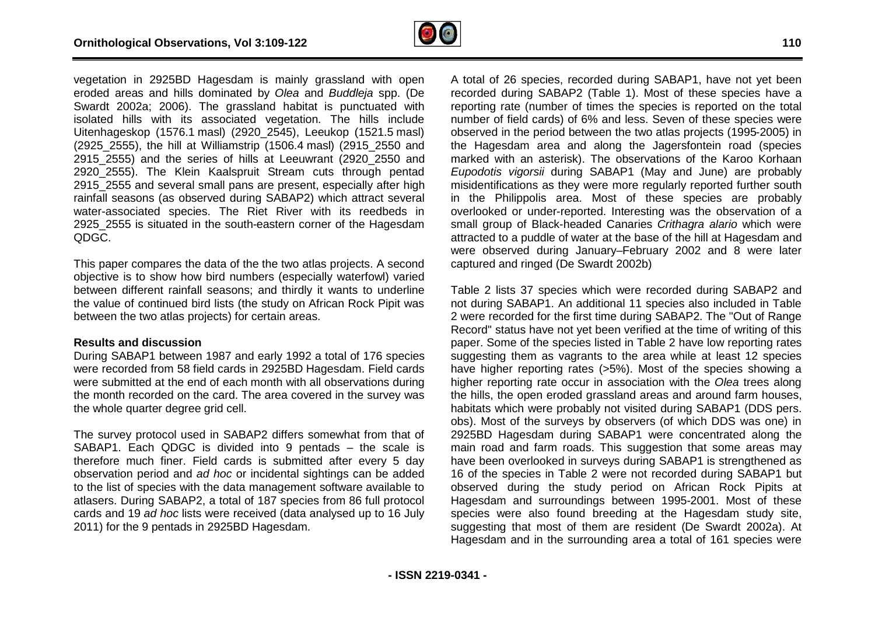

vegetation in 2925BD Hagesdam is mainly grassland with open eroded areas and hills dominated by *Olea* and *Buddle Buddleja* spp. (De Swardt 2002a; 2006). The grassland habitat is punctuated with isolated hills with its associated vegetation. The hills . include Uitenhageskop (1576.1 masl) (2920\_2545), Leeukop (1521.5 masl) (2925\_2555), the hill at Williamstrip (1506.4 masl) (2915\_2550 and 2915 2555) and the series of hills at Leeuwrant (2920 2550 and (2925\_2555), the hill at Williamstrip (1506.4 masl) (2915\_2550 and<br>2915\_2555) and the series of hills at Leeuwrant (2920\_2550 and<br>2920\_2555). The Klein Kaalspruit Stream cuts through pentad 2915 2555 and several small pans are present, especially after high rainfall seasons (as observed during SABAP2) which attract several<br>water-associated species. The Riet River with its reedbeds in water-associated species. The Riet River with its reedbeds in 2925\_2555 is situated in the south-eastern corner of the Hagesdam QDGC.

This paper compares the data of the the two atlas projects. A second objective is to show how bird numbers (especially waterfowl) varied between different rainfall seasons; and thirdly it wants to underline the value of continued bird lists (the study on African Rock Pipit was between the two atlas projects) for certain areas.

#### **Results and discussion**

During SABAP1 between 1987 and early 1992 a total of 176 species were recorded from 58 field cards in 2925BD Hagesdam. Field cards were submitted at the end of each month with all observations during the month recorded on the card. The area covered in the survey was the whole quarter degree grid cell.

The survey protocol used in SABAP2 differs somewhat from that of SABAP1. Each QDGC is divided into 9 pentads – the scale is therefore much finer. Field cards is submitted after every 5 day observation period and *ad hoc* or incidental sightings can be added to the list of species with the data management software available to atlasers. During SABAP2, a total of 187 species from 86 full protocol cards and 19 *ad hoc* lists were received (data analysed up to 16 July 2011) for the 9 pentads in 2925BD Hagesdam.

A total of 26 species, recorded during SABAP1, have not yet been recorded during SABAP2 (Table 1). Most of these species have a reporting rate (number of times the species is reported on the total number of field cards) of 6% and less. Seven of these species were reporting rate (number of times the species is reported on the total<br>number of field cards) of 6% and less. Seven of these species were<br>observed in the period between the two atlas projects (1995-2005) in the Hagesdam area and along the Jagersfontein road (species marked with an asterisk). The observations of the Karoo Korhaan *Eupodotis vigorsii* during SABAP1 (May and June) are probably misidentifications as they were more regularly reported further south in the Philippolis area. Most of these species are probably overlooked or under-reported. Interesting was the observation of a small group of Black-headed Canaries *Crithagra alario* which were attracted to a puddle of water at the base of the hill at Hagesdam and were observed during January–February 2002 and 8 were later captured and ringed (De Swardt 2002b) bservations<br>
21 (May a<br>
ore regular<br>
of these<br>
eresting wa February 2002 and 8 were later<br>002b)<br>/ere recorded during SABAP2 and<br>I 11 species also included in Table

Table 2 lists 37 species which were recorded during SABAP2 and not during SABAP1. An additional 11 species also included in 2 were recorded for the first time during SABAP2. The "Out of Range Record" status have not yet been verified at the time of writing of this paper. Some of the species listed in Table 2 have low reporting rates suggesting them as vagrants to the area while at least 12 species have higher reporting rates (>5%). Most of the species showing a higher reporting rate occur in association with the *Olea* trees along the hills, the open eroded grassland areas and around farm houses, habitats which were probably not visited during SABAP1 (DDS pers. obs). Most of the surveys by observers (of which DDS was one) in 2925BD Hagesdam during SABAP1 were concentrated along the main road and farm roads. This suggestion that some areas may have been overlooked in surveys during SABAP1 is strengthened as 16 of the species in Table 2 were not recorded during SABAP1 but observed during the study period on African Rock Pipits at Hagesdam and surroundings between 1995-2001. Most of these species were also found breeding at the Hagesdam study site, suggesting that most of them are resident (De Swardt 2002a). At Hagesdam and in the surrounding area a total of 161 species were udy period on African Rock Pipits at<br>lings between 1995-2001. Most of these<br>I breeding at the Hagesdam study site,<br>them are resident (De Swardt 2002a). At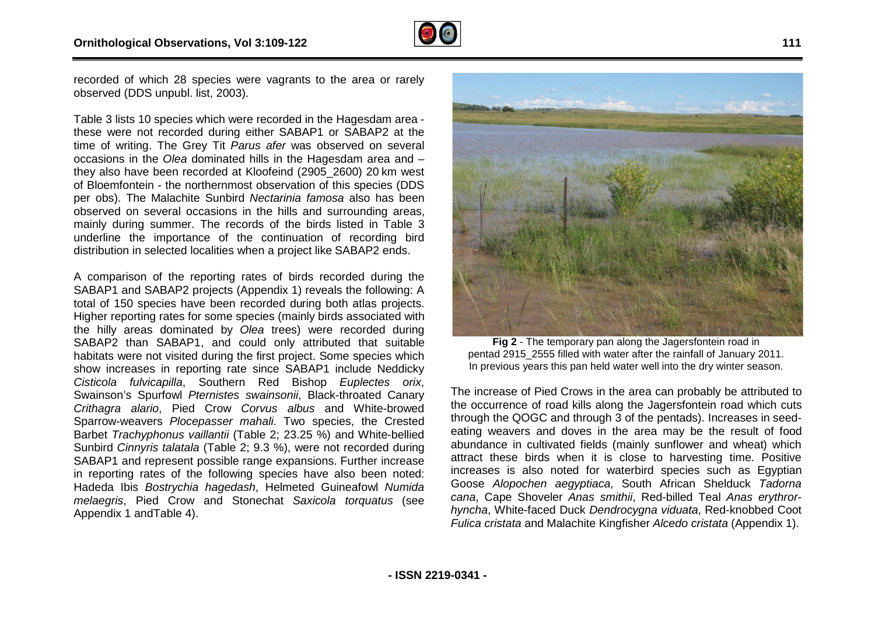

recorded of which 28 species were vagrants to the area or rarely observed (DDS unpubl. list, 2003).

Table 3 lists 10 species which were recorded in the Hagesdam area these were not recorded during either SABAP1 or SABAP2 at the time of writing. The Grey Tit *Parus afer* was observed on several occasions in the *Olea* dominated hills in the Hagesdam area and – they also have been recorded at Kloofeind (2905\_2600) 20 km west of Bloemfontein - the northernmost observation of this s species (DDS per obs). The Malachite Sunbird *Nectarinia famosa* also has been observed on several occasions in the hills and surrounding areas, mainly during summer. The records of the birds listed in Table 3 underline the importance of the continuation of recording bird distribution in selected localities when a project like SABAP2 ends.

A comparison of the reporting rates of birds recorded during the SABAP1 and SABAP2 projects (Appendix 1) reveals the following: A total of 150 species have been recorded during both atlas projects. Higher reporting rates for some species (mainly birds associated with the hilly areas dominated by *Olea* trees) were recorded during SABAP2 than SABAP1, and could only attributed that suitable habitats were not visited during the first project. Some species which show increases in reporting rate since SABAP1 include Neddicky *Cisticola fulvicapilla*, Southern Red Bishop *Euplectes orix* , Swainson's Spurfowl Pternistes swainsonii, Black-throated Canary Crithagra alario, Pied Crow Corvus albus and White-browed Sparrow-weavers *Plocepasser mahali*. Two species, the Crested Barbet *Trachyphonus vaillantii* (Table 2; 23.25 %) and White White-bellied Sunbird *Cinnyris talatala* (Table 2; 9.3 %), were not recorded during SABAP1 and represent possible range expansions. Further increase in reporting rates of the following species have also been noted: Hadeda Ibis *Bostrychia hagedash*, Helmeted Guineafowl *Numida melaegris*, Pied Crow and Stonechat *Saxicola torquatus* (see Appendix 1 andTable 4). prded during<br>ies (mainly ł<br>a trees) we<br>d only attri<br>irst project. {



**Fig 2** - The temporary pan along the Jagersfontein road in Fig 2 - The temporary pan along the Jagersfontein road in<br>pentad 2915\_2555 filled with water after the rainfall of January 2011. In previous years this pan held water well into the dry winter season.

The increase of Pied Crows in the area can probably be attributed to the occurrence of road kills along the Jagersfontein road which cuts through the QOGC and through 3 of the pentads). Increases in seedeating weavers and doves in the area may be the result of food abundance in cultivated fields (mainly sunflower and wheat) which attract these birds when it is close to harvesting time. Positive increases is also noted for waterbird species such as Egyptian Goose *Alopochen aegyptiaca*, South African Shelduck *Tadorna cana*, Cape Shoveler *Anas smithii*, Red-billed Teal billed *Anas erythrorhyncha*, White-faced Duck *Dendrocygna viduata* , Red-knobbed Coot *Fulica cristata* and Malachite Kingfisher *Alcedo cristata* (Appendix 1).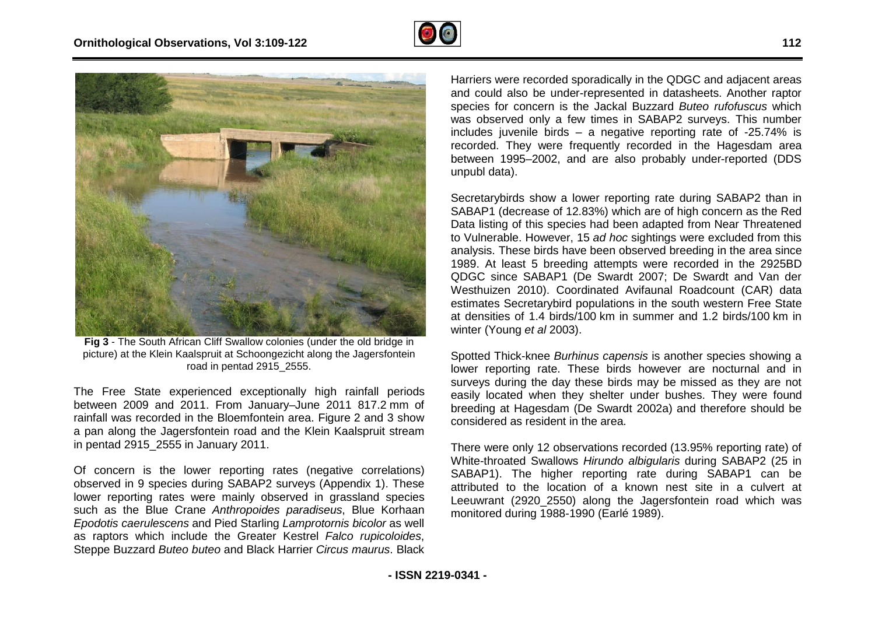



**Fig 3** - The South African Cliff Swallow colonies (under the old bridge in picture) at the Klein Kaalspruit at Schoongezicht along the Jagersfontein troad in pentad 2915\_2555.

The Free State experienced exceptionally high rainfall periods The Free State experienced exceptionally high rainfall periods<br>between 2009 and 2011. From January–June 2011 817.2 mm of rainfall was recorded in the Bloemfontein area. Figure 2 and 3 show a pan along the Jagersfontein road and the Klein Kaalspruit stream in pentad 2915\_2555 in January 2011.

Of concern is the lower reporting rates (negative correlations) observed in 9 species during SABAP2 surveys (Appendix 1). These lower reporting rates were mainly observed in grassland species such as the Blue Crane *Anthropoides paradiseus*, Blue Korhaan *Epodotis caerulescens* and Pied Starling *Lamprotornis bicolor* as well as raptors which include the Greater Kestrel *Falco rupicoloides* , Steppe Buzzard *Buteo buteo* and Black Harrier *Circus maurus* . Black Harriers were recorded sporadically in the QDGC and adjacent areas Harriers were recorded sporadically in the QDGC and adjacent areas<br>and could also be under-represented in datasheets. Another raptor species for concern is the Jackal Buzzard *Buteo rufofuscus* which was observed only a few times in SABAP2 surveys. This number includes juvenile birds – a negative reporting rate of -25.74% is recorded. They were frequently recorded in the Hagesdam area recorded. They were frequently recorded in the Hagesdam area<br>between 1995–2002, and are also probably under-reported (DDS unpubl data).

Secretarybirds show a lower reporting rate during SABAP2 than in Secretarybirds show a lower reporting rate during SABAP2 than in<br>SABAP1 (decrease of 12.83%) which are of high concern as the Red Data listing of this species had been adapted from Near Threatened to Vulnerable. However, 15 *ad hoc* sightings were excluded from this analysis. These birds have been observed breeding in the area since 1989. At least 5 breeding attempts were recorded in the 2925BD QDGC since SABAP1 (De Swardt 2007; De Swardt and Van der Westhuizen 2010). Coordinated Avifaunal Roadcount (CAR) data estimates Secretarybird populations in the south western Free State at densities of 1.4 birds/100 km in summer and 1.2 birds/100 km in winter (Young *et al* 2003).

Spotted Thick-knee Burhinus capensis is another species showing a lower reporting rate. These birds however are nocturnal and in surveys during the day these birds may be missed as they are not easily located when they shelter under bushes. They were found breeding at Hagesdam (De Swardt 2002a) and therefore should be considered as resident in the area.

There were only 12 observations recorded (13.95% reporting rate) of White-throated Swallows *Hirundo albigularis* during SABAP2 (25 in SABAP1). The higher reporting rate during SABAP1 can be attributed to the location of a known nest site in a culvert at Leeuwrant (2920\_2550) along the Jagersfontein road which was monitored during 1988-1990 (Earlé 1989).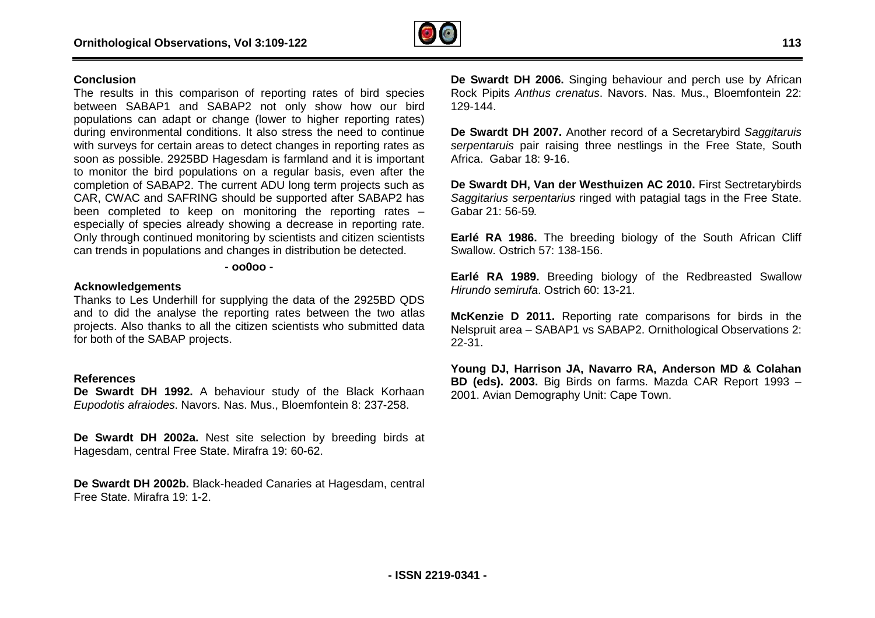

#### **Conclusion**

The results in this comparison of reporting rates of bird species between SABAP1 and SABAP2 not only show how our bird populations can adapt or change (lower to higher reporting rates) during environmental conditions. It also stress the need to continue with surveys for certain areas to detect changes in reporting rates as soon as possible. 2925BD Hagesdam is farmland and it is important to monitor the bird populations on a regular basis, even after the completion of SABAP2. The current ADU long term projects such as CAR, CWAC and SAFRING should be supported after SABAP2 has been completed to keep on monitoring the reporting rates – especially of species already showing a decrease in reporting rate. Only through continued monitoring by scientists and citizen scientists can trends in populations and changes in distribution be detected. hange (lower to higher reporting rates)<br>ions. It also stress the need to continue<br>s to detect changes in reporting rates as<br>lagesdam is farmland and it is important ecies already showing a decrease in reporting rantinued monitoring by scientists and citizen scienti<br>pulations and changes in distribution be detected. **DEVALUATION THEADE THE SWARD HEADERS (Singling behaviour and perch use by African-<br>SAP2 not only show how our bit 129-144.<br>
And the states the meeting rates of the bigher reporting rates 129-144.<br>
The also stress the meet** 

#### **- oo0oo -**

#### **Acknowledgements**

Thanks to Les Underhill for supplying the data of the 2925BD QDS and to did the analyse the reporting rates between the two atlas projects. Also thanks to all the citizen scientists who submitted data for both of the SABAP projects.

#### **References**

De Swardt DH 1992. A behaviour study of the Black Korhaan *Eupodotis afraiodes*. Navors. Nas. Mus., Bloemfontein 8: 237 237-258.

**De Swardt DH 2002a.** Nest site selection by breeding birds at Hagesdam, central Free State. Mirafra 19: 60-62.

**De Swardt DH 2002b.** Black-headed Canaries at Hagesdam, central Free State. Mirafra 19: 1-2.

Rock Pipits *Anthus crenatus*. Navors. Nas. Mus., Bloemfontein 22: 129-144.

**De Swardt DH 2007.** Another record of a Secretarybird *Saggitaruis serpentaruis* pair raising three nestlings in the Free State, South Africa. Gabar 18: 9-16. serpentaruis pair raising three nestlings in the Free State, South<br>Africa. Gabar 18: 9-16.<br>**De Swardt DH, Van der Westhuizen AC 2010.** First Sectretarybirds

*Saggitarius serpentarius* ringed with patagial tags in the Free State. Gabar 21: 56-59*.* 

**Earlé RA 1986.** The breeding biology of the South African Cliff Swallow. Ostrich 57: 138-156.

**Earlé RA 1989.** Breeding biology of the Redbreasted Swallow *Hirundo semirufa*. Ostrich 60: 13-21.

**McKenzie D 2011.** Reporting rate comparisons for birds in the Nelspruit area - SABAP1 vs SABAP2. Ornithological Observations 2: 22-31.

**Young DJ, Harrison JA, Navarro RA, Anderson MD & Colahan BD (eds). 2003.** Big Birds on farms. Mazda CAR Report 1993 – 2001. Avian Demography Unit: Cape Town.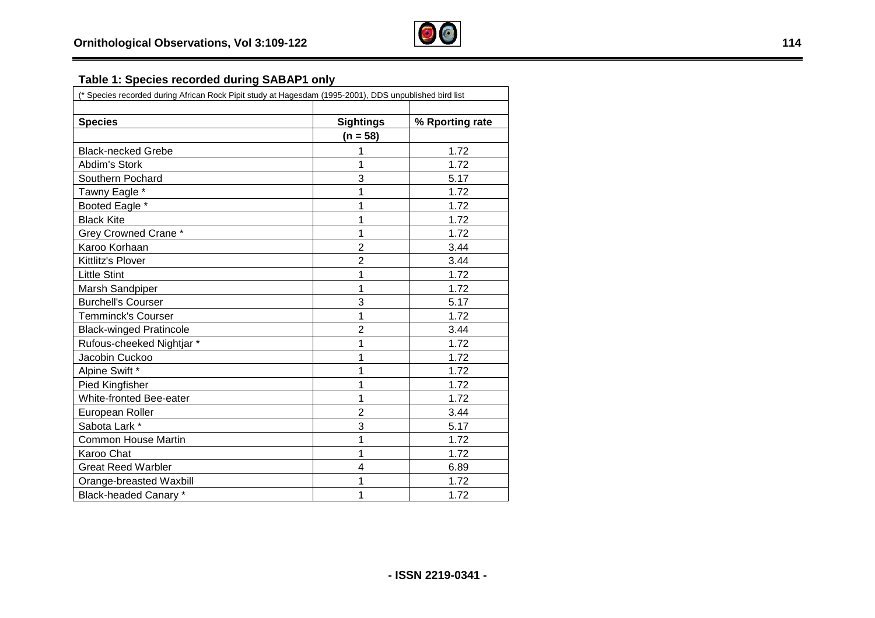

# **Table 1: Species recorded during SABAP1 only**

| <b>Species</b>                 | <b>Sightings</b> | % Rporting rate |
|--------------------------------|------------------|-----------------|
|                                | $(n = 58)$       |                 |
| <b>Black-necked Grebe</b>      | 1                | 1.72            |
| Abdim's Stork                  | 1                | 1.72            |
| Southern Pochard               | 3                | 5.17            |
| Tawny Eagle *                  | 1                | 1.72            |
| Booted Eagle *                 | 1                | 1.72            |
| <b>Black Kite</b>              | 1                | 1.72            |
| <b>Grey Crowned Crane *</b>    | 1                | 1.72            |
| Karoo Korhaan                  | $\overline{2}$   | 3.44            |
| Kittlitz's Plover              | $\overline{2}$   | 3.44            |
| <b>Little Stint</b>            | 1                | 1.72            |
| Marsh Sandpiper                | 1                | 1.72            |
| <b>Burchell's Courser</b>      | 3                | 5.17            |
| <b>Temminck's Courser</b>      | 1                | 1.72            |
| <b>Black-winged Pratincole</b> | $\overline{2}$   | 3.44            |
| Rufous-cheeked Nightjar *      | 1                | 1.72            |
| Jacobin Cuckoo                 | 1                | 1.72            |
| Alpine Swift *                 | 1                | 1.72            |
| Pied Kingfisher                | 1                | 1.72            |
| White-fronted Bee-eater        | 1                | 1.72            |
| European Roller                | $\overline{2}$   | 3.44            |
| Sabota Lark *                  | 3                | 5.17            |
| <b>Common House Martin</b>     | 1                | 1.72            |
| Karoo Chat                     | 1                | 1.72            |
| <b>Great Reed Warbler</b>      | 4                | 6.89            |
| Orange-breasted Waxbill        | 1                | 1.72            |
| <b>Black-headed Canary *</b>   | 1                | 1.72            |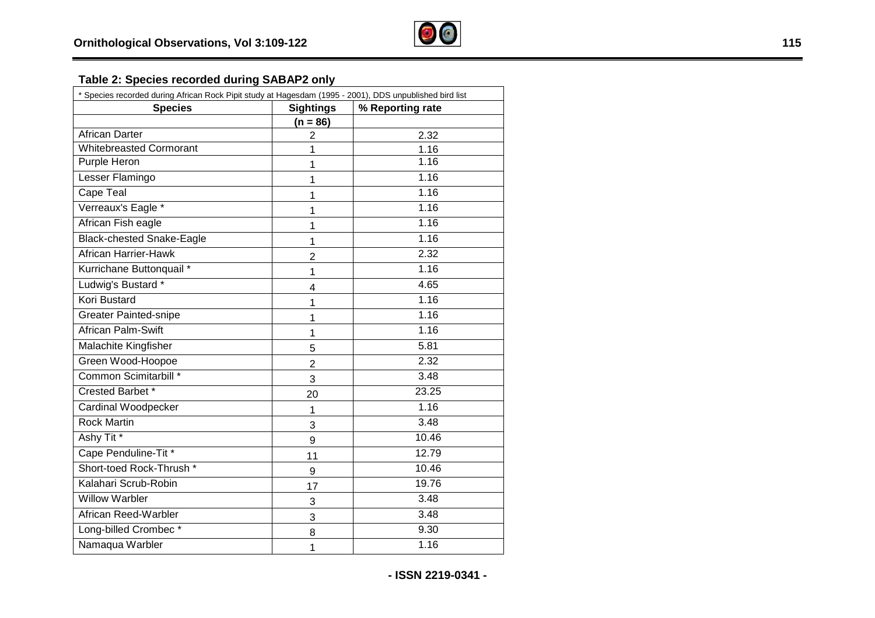#### Table 2: Species recorded during SABAP2 only

| <b>Species</b>                   | <b>Sightings</b> | % Reporting rate |  |  |
|----------------------------------|------------------|------------------|--|--|
|                                  | $(n = 86)$       |                  |  |  |
| <b>African Darter</b>            | $\overline{2}$   | 2.32             |  |  |
| <b>Whitebreasted Cormorant</b>   | 1                | 1.16             |  |  |
| Purple Heron                     | 1                | 1.16             |  |  |
| Lesser Flamingo                  | 1                | 1.16             |  |  |
| Cape Teal                        | 1                | 1.16             |  |  |
| Verreaux's Eagle *               | 1                | 1.16             |  |  |
| African Fish eagle               | 1                | 1.16             |  |  |
| <b>Black-chested Snake-Eagle</b> | 1                | 1.16             |  |  |
| African Harrier-Hawk             | $\overline{2}$   | 2.32             |  |  |
| Kurrichane Buttonquail *         | 1                | 1.16             |  |  |
| Ludwig's Bustard *               | 4                | 4.65             |  |  |
| <b>Kori Bustard</b>              | 1                | 1.16             |  |  |
| <b>Greater Painted-snipe</b>     | 1                | 1.16             |  |  |
| African Palm-Swift               | 1                | 1.16             |  |  |
| Malachite Kingfisher             | 5                | 5.81             |  |  |
| Green Wood-Hoopoe                | $\overline{2}$   | 2.32             |  |  |
| Common Scimitarbill *            | 3                | 3.48             |  |  |
| Crested Barbet*                  | 20               | 23.25            |  |  |
| Cardinal Woodpecker              | 1                | 1.16             |  |  |
| <b>Rock Martin</b>               | 3                | $\frac{1}{3.48}$ |  |  |
| Ashy Tit <sup>*</sup>            | 9                | 10.46            |  |  |
| Cape Penduline-Tit *             | 11               | 12.79            |  |  |
| Short-toed Rock-Thrush *         | 9                | 10.46            |  |  |
| Kalahari Scrub-Robin             | 17               | 19.76            |  |  |
| <b>Willow Warbler</b>            | 3                | 3.48             |  |  |
| African Reed-Warbler             | 3                | 3.48             |  |  |
| Long-billed Crombec*             | 8                | 9.30             |  |  |
| Namaqua Warbler                  | 1                | 1.16             |  |  |

**- ISSN 2219 -034 1 -**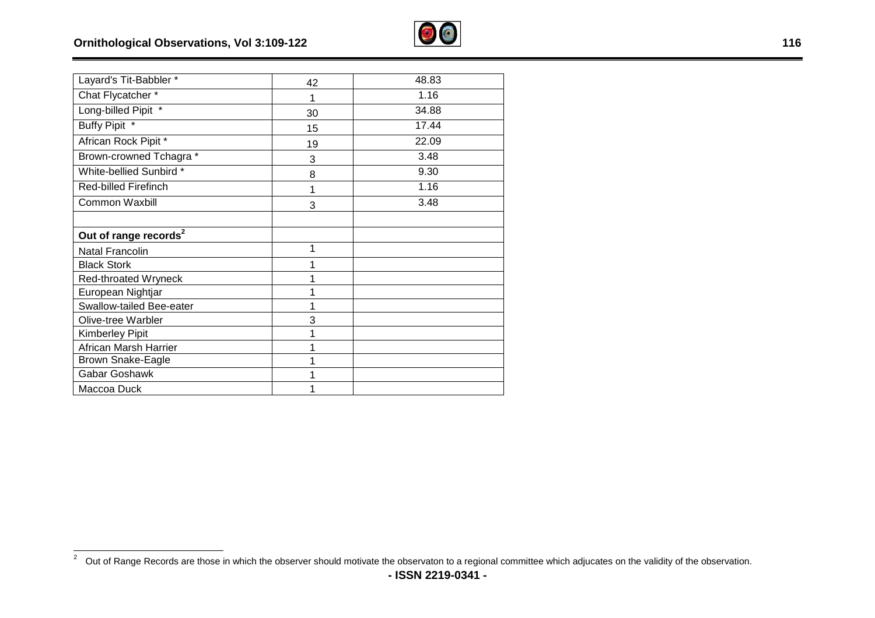$\overline{\phantom{a}}$ 



| Layard's Tit-Babbler *            | 42 | 48.83 |
|-----------------------------------|----|-------|
| Chat Flycatcher*                  | 1  | 1.16  |
| Long-billed Pipit *               | 30 | 34.88 |
| Buffy Pipit *                     | 15 | 17.44 |
| African Rock Pipit *              | 19 | 22.09 |
| Brown-crowned Tchagra *           | 3  | 3.48  |
| White-bellied Sunbird *           | 8  | 9.30  |
| <b>Red-billed Firefinch</b>       | 1  | 1.16  |
| <b>Common Waxbill</b>             | 3  | 3.48  |
| Out of range records <sup>2</sup> |    |       |
| <b>Natal Francolin</b>            | 1  |       |
| <b>Black Stork</b>                | 1  |       |
| Red-throated Wryneck              | 1  |       |
| European Nightjar                 | 1  |       |
| Swallow-tailed Bee-eater          | 1  |       |
| Olive-tree Warbler                | 3  |       |
| <b>Kimberley Pipit</b>            |    |       |
| African Marsh Harrier             |    |       |
| Brown Snake-Eagle                 | 1  |       |
| Gabar Goshawk                     | 1  |       |
| Maccoa Duck                       |    |       |

 $2$  Out of Range Records are those in which the observer should motivate the observaton to a regional committee which adjucates on the validity of the observation.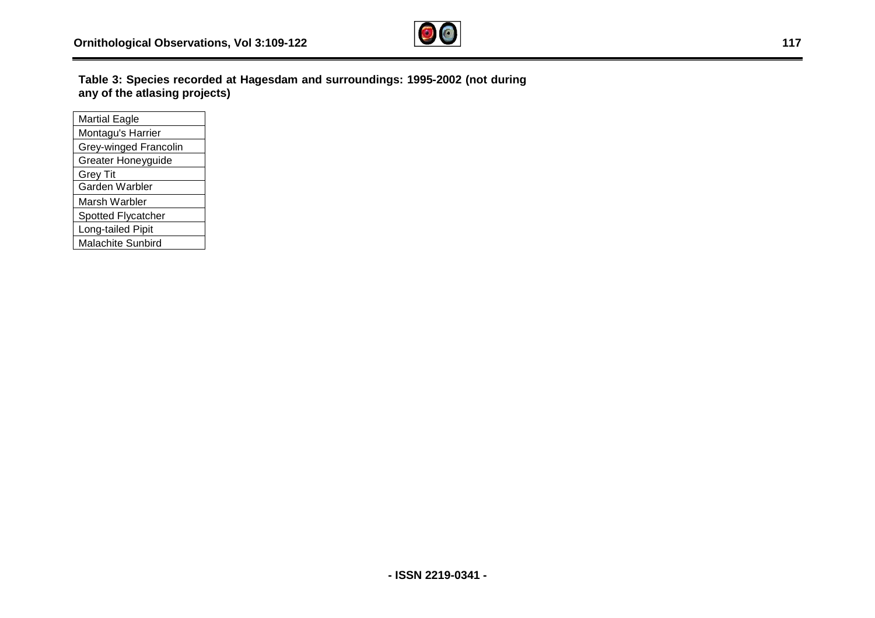

**Table 3: Species recorded at Hagesdam and surroundings: 1995 any of the atlasing projects)**  dam and surroundings: 1995-2002 (not during

| <b>Martial Eagle</b>      |
|---------------------------|
| Montagu's Harrier         |
| Grey-winged Francolin     |
| <b>Greater Honeyguide</b> |
| <b>Grey Tit</b>           |
| Garden Warbler            |
| Marsh Warbler             |
| Spotted Flycatcher        |
| Long-tailed Pipit         |
| <b>Malachite Sunbird</b>  |
|                           |

-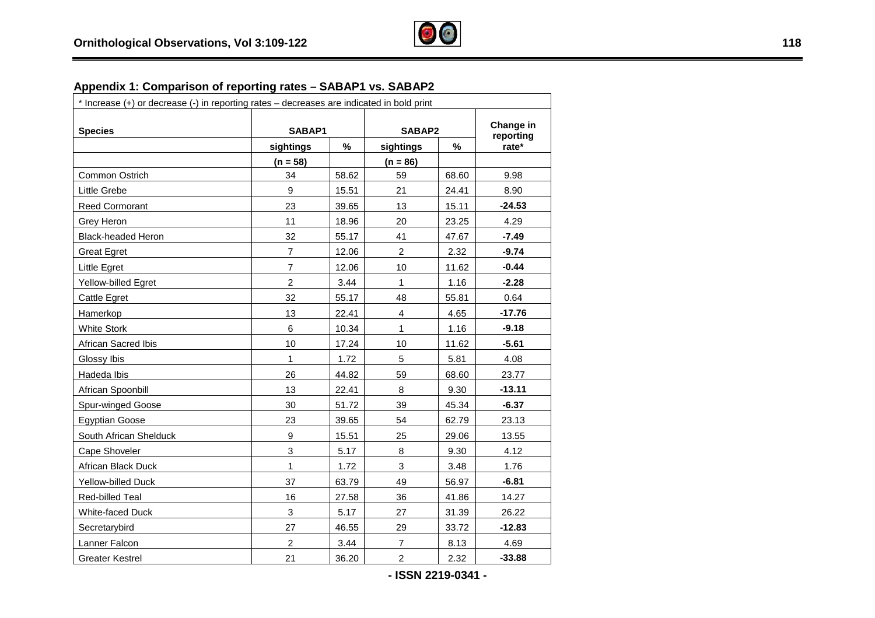

# **Appendix 1: Comparison of reporting rates – SABAP1 vs. SABAP2**

| * Increase (+) or decrease (-) in reporting rates - decreases are indicated in bold print |                  |        |                         |        |          |  |
|-------------------------------------------------------------------------------------------|------------------|--------|-------------------------|--------|----------|--|
| <b>Species</b>                                                                            |                  | SABAP1 |                         | SABAP2 |          |  |
|                                                                                           | sightings        | %      | sightings               | $\%$   | rate*    |  |
|                                                                                           | $(n = 58)$       |        | $(n = 86)$              |        |          |  |
| Common Ostrich                                                                            | 34               | 58.62  | 59                      | 68.60  | 9.98     |  |
| Little Grebe                                                                              | 9                | 15.51  | 21                      | 24.41  | 8.90     |  |
| Reed Cormorant                                                                            | 23               | 39.65  | 13                      | 15.11  | $-24.53$ |  |
| Grey Heron                                                                                | 11               | 18.96  | 20                      | 23.25  | 4.29     |  |
| <b>Black-headed Heron</b>                                                                 | 32               | 55.17  | 41                      | 47.67  | $-7.49$  |  |
| <b>Great Egret</b>                                                                        | $\overline{7}$   | 12.06  | $\overline{c}$          | 2.32   | $-9.74$  |  |
| Little Egret                                                                              | $\overline{7}$   | 12.06  | 10                      | 11.62  | $-0.44$  |  |
| Yellow-billed Egret                                                                       | $\overline{2}$   | 3.44   | 1                       | 1.16   | $-2.28$  |  |
| Cattle Egret                                                                              | 32               | 55.17  | 48                      | 55.81  | 0.64     |  |
| Hamerkop                                                                                  | 13               | 22.41  | $\overline{\mathbf{4}}$ | 4.65   | $-17.76$ |  |
| <b>White Stork</b>                                                                        | $6\phantom{a}$   | 10.34  | $\mathbf{1}$            | 1.16   | $-9.18$  |  |
| African Sacred Ibis                                                                       | 10               | 17.24  | 10                      | 11.62  | $-5.61$  |  |
| Glossy Ibis                                                                               | $\mathbf{1}$     | 1.72   | 5                       | 5.81   | 4.08     |  |
| Hadeda Ibis                                                                               | 26               | 44.82  | 59                      | 68.60  | 23.77    |  |
| African Spoonbill                                                                         | 13               | 22.41  | 8                       | 9.30   | $-13.11$ |  |
| Spur-winged Goose                                                                         | 30               | 51.72  | 39                      | 45.34  | $-6.37$  |  |
| <b>Egyptian Goose</b>                                                                     | 23               | 39.65  | 54                      | 62.79  | 23.13    |  |
| South African Shelduck                                                                    | $\boldsymbol{9}$ | 15.51  | 25                      | 29.06  | 13.55    |  |
| Cape Shoveler                                                                             | $\mathbf{3}$     | 5.17   | 8                       | 9.30   | 4.12     |  |
| African Black Duck                                                                        | 1                | 1.72   | 3                       | 3.48   | 1.76     |  |
| <b>Yellow-billed Duck</b>                                                                 | 37               | 63.79  | 49                      | 56.97  | $-6.81$  |  |
| Red-billed Teal                                                                           | 16               | 27.58  | 36                      | 41.86  | 14.27    |  |
| White-faced Duck                                                                          | $\mathbf{3}$     | 5.17   | 27                      | 31.39  | 26.22    |  |
| Secretarybird                                                                             | 27               | 46.55  | 29                      | 33.72  | $-12.83$ |  |
| Lanner Falcon                                                                             | $\overline{c}$   | 3.44   | $\overline{7}$          | 8.13   | 4.69     |  |
| <b>Greater Kestrel</b>                                                                    | 21               | 36.20  | $\overline{2}$          | 2.32   | $-33.88$ |  |

**- ISSN 2219-0341 -**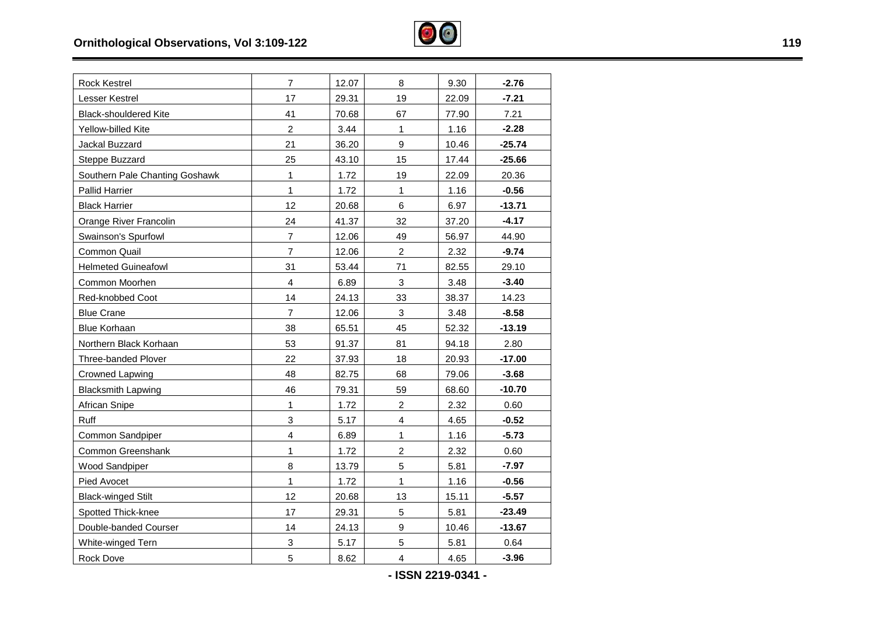

| <b>Rock Kestrel</b>            | $\overline{7}$            | 12.07 | 8                       | 9.30  | $-2.76$  |
|--------------------------------|---------------------------|-------|-------------------------|-------|----------|
| Lesser Kestrel                 | 17                        | 29.31 | 19                      | 22.09 | $-7.21$  |
| <b>Black-shouldered Kite</b>   | 41                        | 70.68 | 67                      | 77.90 | 7.21     |
| Yellow-billed Kite             | $\overline{2}$            | 3.44  | $\mathbf{1}$            | 1.16  | $-2.28$  |
| Jackal Buzzard                 | 21                        | 36.20 | 9                       | 10.46 | $-25.74$ |
| Steppe Buzzard                 | 25                        | 43.10 | 15                      | 17.44 | $-25.66$ |
| Southern Pale Chanting Goshawk | $\mathbf{1}$              | 1.72  | 19                      | 22.09 | 20.36    |
| <b>Pallid Harrier</b>          | $\mathbf{1}$              | 1.72  | $\mathbf{1}$            | 1.16  | $-0.56$  |
| <b>Black Harrier</b>           | 12                        | 20.68 | $\,6$                   | 6.97  | $-13.71$ |
| Orange River Francolin         | 24                        | 41.37 | 32                      | 37.20 | $-4.17$  |
| Swainson's Spurfowl            | $\overline{7}$            | 12.06 | 49                      | 56.97 | 44.90    |
| Common Quail                   | $\overline{7}$            | 12.06 | $\boldsymbol{2}$        | 2.32  | $-9.74$  |
| <b>Helmeted Guineafowl</b>     | 31                        | 53.44 | 71                      | 82.55 | 29.10    |
| Common Moorhen                 | $\overline{4}$            | 6.89  | 3                       | 3.48  | $-3.40$  |
| Red-knobbed Coot               | 14                        | 24.13 | 33                      | 38.37 | 14.23    |
| <b>Blue Crane</b>              | $\overline{7}$            | 12.06 | $\mathfrak{S}$          | 3.48  | $-8.58$  |
| <b>Blue Korhaan</b>            | 38                        | 65.51 | 45                      | 52.32 | $-13.19$ |
| Northern Black Korhaan         | 53                        | 91.37 | 81                      | 94.18 | 2.80     |
| Three-banded Plover            | 22                        | 37.93 | 18                      | 20.93 | $-17.00$ |
| <b>Crowned Lapwing</b>         | 48                        | 82.75 | 68                      | 79.06 | $-3.68$  |
| <b>Blacksmith Lapwing</b>      | 46                        | 79.31 | 59                      | 68.60 | $-10.70$ |
| African Snipe                  | 1                         | 1.72  | $\overline{c}$          | 2.32  | 0.60     |
| Ruff                           | $\mathsf 3$               | 5.17  | $\overline{4}$          | 4.65  | $-0.52$  |
| Common Sandpiper               | $\overline{4}$            | 6.89  | $\mathbf{1}$            | 1.16  | $-5.73$  |
| Common Greenshank              | $\mathbf{1}$              | 1.72  | $\overline{c}$          | 2.32  | 0.60     |
| <b>Wood Sandpiper</b>          | 8                         | 13.79 | $\overline{5}$          | 5.81  | $-7.97$  |
| Pied Avocet                    | $\mathbf{1}$              | 1.72  | $\mathbf{1}$            | 1.16  | $-0.56$  |
| <b>Black-winged Stilt</b>      | 12                        | 20.68 | 13                      | 15.11 | $-5.57$  |
| Spotted Thick-knee             | 17                        | 29.31 | $\overline{5}$          | 5.81  | $-23.49$ |
| Double-banded Courser          | 14                        | 24.13 | $\boldsymbol{9}$        | 10.46 | $-13.67$ |
| White-winged Tern              | $\ensuremath{\mathsf{3}}$ | 5.17  | 5                       | 5.81  | 0.64     |
| Rock Dove                      | 5                         | 8.62  | $\overline{\mathbf{4}}$ | 4.65  | $-3.96$  |
|                                |                           |       |                         |       |          |

**- ISSN 2219-0341 -** 

÷,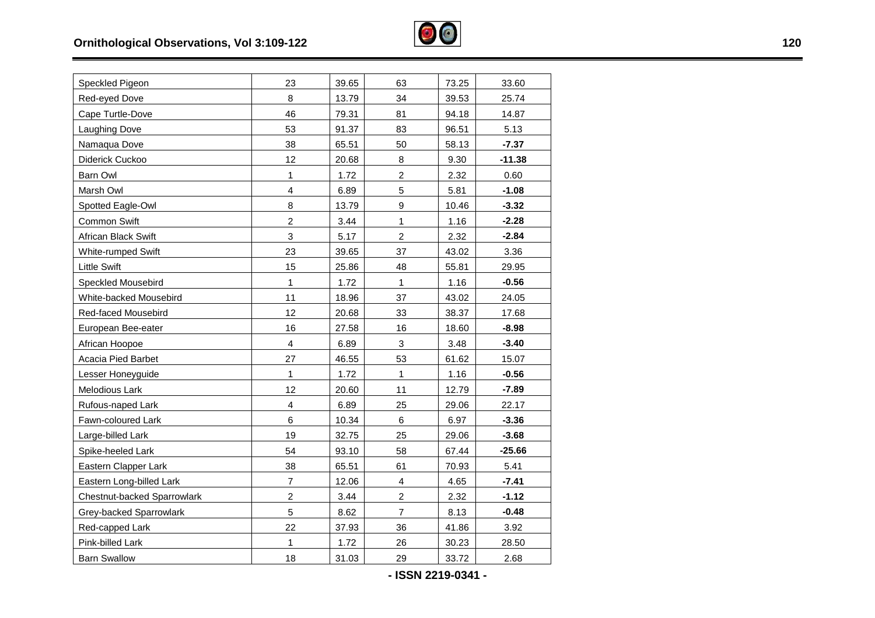

| Speckled Pigeon             | 23                      | 39.65 | 63               | 73.25 | 33.60    |
|-----------------------------|-------------------------|-------|------------------|-------|----------|
| Red-eyed Dove               | 8                       | 13.79 | 34               | 39.53 | 25.74    |
| Cape Turtle-Dove            | 46                      | 79.31 | 81               | 94.18 | 14.87    |
| <b>Laughing Dove</b>        | 53                      | 91.37 | 83               | 96.51 | 5.13     |
| Namaqua Dove                | 38                      | 65.51 | 50               | 58.13 | $-7.37$  |
| Diderick Cuckoo             | 12                      | 20.68 | 8                | 9.30  | $-11.38$ |
| Barn Owl                    | 1                       | 1.72  | $\overline{2}$   | 2.32  | 0.60     |
| Marsh Owl                   | $\overline{\mathbf{4}}$ | 6.89  | 5                | 5.81  | $-1.08$  |
| Spotted Eagle-Owl           | 8                       | 13.79 | $\boldsymbol{9}$ | 10.46 | $-3.32$  |
| Common Swift                | $\overline{2}$          | 3.44  | 1                | 1.16  | $-2.28$  |
| African Black Swift         | 3                       | 5.17  | $\overline{2}$   | 2.32  | $-2.84$  |
| White-rumped Swift          | 23                      | 39.65 | 37               | 43.02 | 3.36     |
| <b>Little Swift</b>         | 15                      | 25.86 | 48               | 55.81 | 29.95    |
| Speckled Mousebird          | 1                       | 1.72  | $\mathbf{1}$     | 1.16  | $-0.56$  |
| White-backed Mousebird      | 11                      | 18.96 | 37               | 43.02 | 24.05    |
| Red-faced Mousebird         | 12                      | 20.68 | 33               | 38.37 | 17.68    |
| European Bee-eater          | 16                      | 27.58 | 16               | 18.60 | $-8.98$  |
| African Hoopoe              | $\overline{\mathbf{4}}$ | 6.89  | 3                | 3.48  | $-3.40$  |
| Acacia Pied Barbet          | 27                      | 46.55 | 53               | 61.62 | 15.07    |
| Lesser Honeyguide           | $\mathbf{1}$            | 1.72  | $\mathbf{1}$     | 1.16  | $-0.56$  |
| Melodious Lark              | 12                      | 20.60 | 11               | 12.79 | $-7.89$  |
| Rufous-naped Lark           | $\overline{\mathbf{4}}$ | 6.89  | 25               | 29.06 | 22.17    |
| Fawn-coloured Lark          | 6                       | 10.34 | $\,6\,$          | 6.97  | $-3.36$  |
| Large-billed Lark           | 19                      | 32.75 | 25               | 29.06 | $-3.68$  |
| Spike-heeled Lark           | 54                      | 93.10 | 58               | 67.44 | $-25.66$ |
| Eastern Clapper Lark        | 38                      | 65.51 | 61               | 70.93 | 5.41     |
| Eastern Long-billed Lark    | $\overline{7}$          | 12.06 | 4                | 4.65  | $-7.41$  |
| Chestnut-backed Sparrowlark | $\overline{\mathbf{c}}$ | 3.44  | $\overline{c}$   | 2.32  | $-1.12$  |
| Grey-backed Sparrowlark     | 5                       | 8.62  | $\overline{7}$   | 8.13  | $-0.48$  |
| Red-capped Lark             | 22                      | 37.93 | 36               | 41.86 | 3.92     |
| Pink-billed Lark            | 1                       | 1.72  | 26               | 30.23 | 28.50    |
| <b>Barn Swallow</b>         | 18                      | 31.03 | 29               | 33.72 | 2.68     |
|                             |                         |       |                  |       |          |

**- ISSN 2219 -034 1 -** 

 $\overline{\phantom{0}}$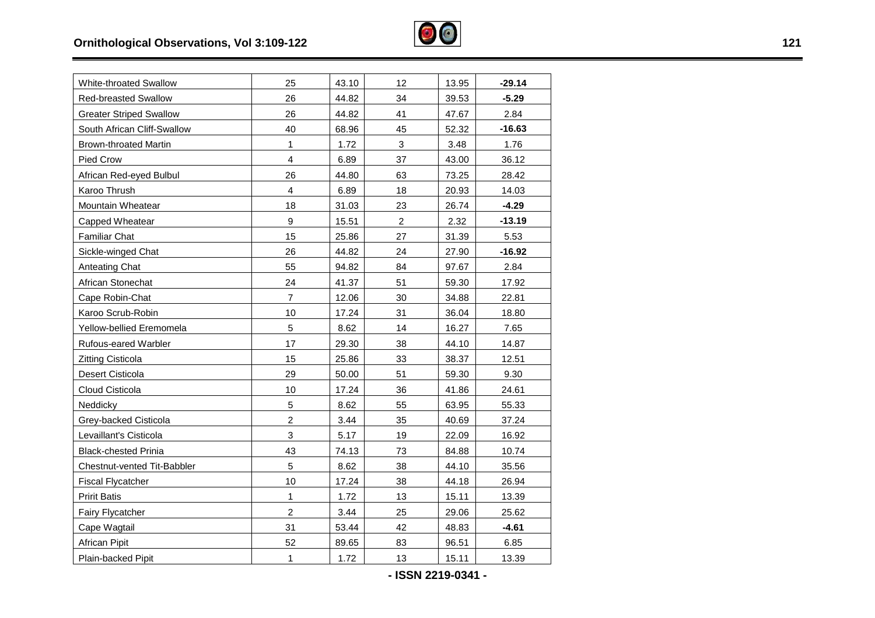

| <b>White-throated Swallow</b>  | 25               | 43.10 | 12             | 13.95 | $-29.14$ |
|--------------------------------|------------------|-------|----------------|-------|----------|
| <b>Red-breasted Swallow</b>    | 26               | 44.82 | 34             | 39.53 | $-5.29$  |
| <b>Greater Striped Swallow</b> | 26               | 44.82 | 41             | 47.67 | 2.84     |
| South African Cliff-Swallow    | 40               | 68.96 | 45             | 52.32 | $-16.63$ |
| <b>Brown-throated Martin</b>   | 1                | 1.72  | 3              | 3.48  | 1.76     |
| Pied Crow                      | 4                | 6.89  | 37             | 43.00 | 36.12    |
| African Red-eyed Bulbul        | 26               | 44.80 | 63             | 73.25 | 28.42    |
| Karoo Thrush                   | 4                | 6.89  | 18             | 20.93 | 14.03    |
| <b>Mountain Wheatear</b>       | 18               | 31.03 | 23             | 26.74 | $-4.29$  |
| Capped Wheatear                | $\boldsymbol{9}$ | 15.51 | $\overline{2}$ | 2.32  | $-13.19$ |
| <b>Familiar Chat</b>           | 15               | 25.86 | 27             | 31.39 | 5.53     |
| Sickle-winged Chat             | 26               | 44.82 | 24             | 27.90 | $-16.92$ |
| Anteating Chat                 | 55               | 94.82 | 84             | 97.67 | 2.84     |
| African Stonechat              | 24               | 41.37 | 51             | 59.30 | 17.92    |
| Cape Robin-Chat                | $\overline{7}$   | 12.06 | 30             | 34.88 | 22.81    |
| Karoo Scrub-Robin              | 10               | 17.24 | 31             | 36.04 | 18.80    |
| Yellow-bellied Eremomela       | $\overline{5}$   | 8.62  | 14             | 16.27 | 7.65     |
| Rufous-eared Warbler           | 17               | 29.30 | 38             | 44.10 | 14.87    |
| <b>Zitting Cisticola</b>       | 15               | 25.86 | 33             | 38.37 | 12.51    |
| Desert Cisticola               | 29               | 50.00 | 51             | 59.30 | 9.30     |
| Cloud Cisticola                | 10               | 17.24 | 36             | 41.86 | 24.61    |
| Neddicky                       | $\sqrt{5}$       | 8.62  | 55             | 63.95 | 55.33    |
| Grey-backed Cisticola          | $\boldsymbol{2}$ | 3.44  | 35             | 40.69 | 37.24    |
| Levaillant's Cisticola         | 3                | 5.17  | 19             | 22.09 | 16.92    |
| <b>Black-chested Prinia</b>    | 43               | 74.13 | 73             | 84.88 | 10.74    |
| Chestnut-vented Tit-Babbler    | $\overline{5}$   | 8.62  | 38             | 44.10 | 35.56    |
| <b>Fiscal Flycatcher</b>       | 10               | 17.24 | 38             | 44.18 | 26.94    |
| <b>Pririt Batis</b>            | 1                | 1.72  | 13             | 15.11 | 13.39    |
| Fairy Flycatcher               | $\overline{c}$   | 3.44  | 25             | 29.06 | 25.62    |
| Cape Wagtail                   | 31               | 53.44 | 42             | 48.83 | $-4.61$  |
| African Pipit                  | 52               | 89.65 | 83             | 96.51 | 6.85     |
| Plain-backed Pipit             | 1                | 1.72  | 13             | 15.11 | 13.39    |
|                                |                  |       |                |       |          |

**- ISSN 2219-0341 -** 

٠